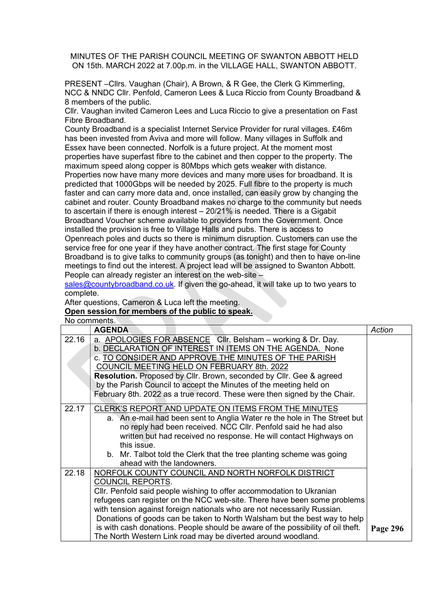MINUTES OF THE PARISH COUNCIL MEETING OF SWANTON ABBOTT HELD ON 15th. MARCH 2022 at 7.00p.m. in the VILLAGE HALL, SWANTON ABBOTT.

PRESENT –Cllrs. Vaughan (Chair), A Brown, & R Gee, the Clerk G Kimmerling, NCC & NNDC Cllr. Penfold, Cameron Lees & Luca Riccio from County Broadband & 8 members of the public.

Cllr. Vaughan invited Cameron Lees and Luca Riccio to give a presentation on Fast Fibre Broadband.

County Broadband is a specialist Internet Service Provider for rural villages. £46m has been invested from Aviva and more will follow. Many villages in Suffolk and Essex have been connected. Norfolk is a future project. At the moment most properties have superfast fibre to the cabinet and then copper to the property. The maximum speed along copper is 80Mbps which gets weaker with distance. Properties now have many more devices and many more uses for broadband. It is predicted that 1000Gbps will be needed by 2025. Full fibre to the property is much faster and can carry more data and, once installed, can easily grow by changing the cabinet and router. County Broadband makes no charge to the community but needs to ascertain if there is enough interest – 20/21% is needed. There is a Gigabit Broadband Voucher scheme available to providers from the Government. Once installed the provision is free to Village Halls and pubs. There is access to Openreach poles and ducts so there is minimum disruption. Customers can use the service free for one year if they have another contract. The first stage for County Broadband is to give talks to community groups (as tonight) and then to have on-line meetings to find out the interest. A project lead will be assigned to Swanton Abbott.

People can already register an interest on the web-site –

sales@countybroadband.co.uk. If given the go-ahead, it will take up to two years to complete.

After questions, Cameron & Luca left the meeting.

## Open session for members of the public to speak.

No comments.

|       | <b>AGENDA</b>                                                                   | Action   |
|-------|---------------------------------------------------------------------------------|----------|
| 22.16 | a. APOLOGIES FOR ABSENCE CIIr. Belsham - working & Dr. Day.                     |          |
|       | b. DECLARATION OF INTEREST IN ITEMS ON THE AGENDA. None                         |          |
|       | c. TO CONSIDER AND APPROVE THE MINUTES OF THE PARISH                            |          |
|       | COUNCIL MEETING HELD ON FEBRUARY 8th. 2022                                      |          |
|       | <b>Resolution.</b> Proposed by Cllr. Brown, seconded by Cllr. Gee & agreed      |          |
|       | by the Parish Council to accept the Minutes of the meeting held on              |          |
|       | February 8th. 2022 as a true record. These were then signed by the Chair.       |          |
| 22.17 | CLERK'S REPORT AND UPDATE ON ITEMS FROM THE MINUTES                             |          |
|       | a. An e-mail had been sent to Anglia Water re the hole in The Street but        |          |
|       | no reply had been received. NCC Cllr. Penfold said he had also                  |          |
|       | written but had received no response. He will contact Highways on               |          |
|       | this issue.                                                                     |          |
|       | b. Mr. Talbot told the Clerk that the tree planting scheme was going            |          |
|       | ahead with the landowners.                                                      |          |
| 22.18 | NORFOLK COUNTY COUNCIL AND NORTH NORFOLK DISTRICT                               |          |
|       | <b>COUNCIL REPORTS.</b>                                                         |          |
|       | CIIr. Penfold said people wishing to offer accommodation to Ukranian            |          |
|       | refugees can register on the NCC web-site. There have been some problems        |          |
|       | with tension against foreign nationals who are not necessarily Russian.         |          |
|       | Donations of goods can be taken to North Walsham but the best way to help       |          |
|       | is with cash donations. People should be aware of the possibility of oil theft. | Page 296 |
|       | The North Western Link road may be diverted around woodland.                    |          |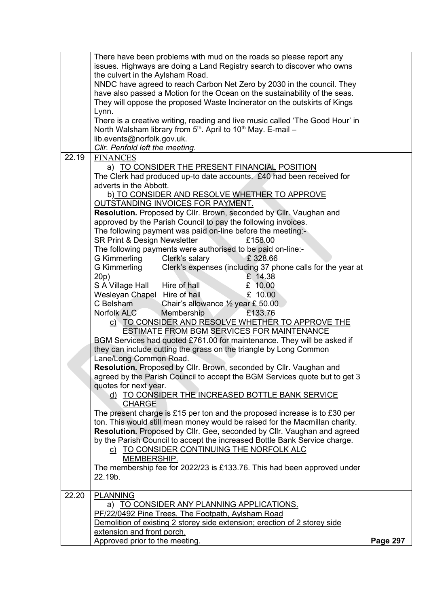|       | There have been problems with mud on the roads so please report any           |                 |
|-------|-------------------------------------------------------------------------------|-----------------|
|       | issues. Highways are doing a Land Registry search to discover who owns        |                 |
|       | the culvert in the Aylsham Road.                                              |                 |
|       | NNDC have agreed to reach Carbon Net Zero by 2030 in the council. They        |                 |
|       | have also passed a Motion for the Ocean on the sustainability of the seas.    |                 |
|       | They will oppose the proposed Waste Incinerator on the outskirts of Kings     |                 |
|       |                                                                               |                 |
|       | Lynn.                                                                         |                 |
|       | There is a creative writing, reading and live music called 'The Good Hour' in |                 |
|       | North Walsham library from $5th$ . April to 10 <sup>th</sup> May. E-mail –    |                 |
|       | lib.events@norfolk.gov.uk.                                                    |                 |
|       | Cllr. Penfold left the meeting.                                               |                 |
| 22.19 | <b>FINANCES</b>                                                               |                 |
|       | a) TO CONSIDER THE PRESENT FINANCIAL POSITION                                 |                 |
|       | The Clerk had produced up-to date accounts. £40 had been received for         |                 |
|       | adverts in the Abbott.                                                        |                 |
|       | b) TO CONSIDER AND RESOLVE WHETHER TO APPROVE                                 |                 |
|       | OUTSTANDING INVOICES FOR PAYMENT.                                             |                 |
|       | Resolution. Proposed by Cllr. Brown, seconded by Cllr. Vaughan and            |                 |
|       | approved by the Parish Council to pay the following invoices.                 |                 |
|       | The following payment was paid on-line before the meeting:-                   |                 |
|       | SR Print & Design Newsletter<br>£158.00                                       |                 |
|       | The following payments were authorised to be paid on-line:-                   |                 |
|       | £328.66<br><b>G Kimmerling</b><br>Clerk's salary                              |                 |
|       | Clerk's expenses (including 37 phone calls for the year at<br>G Kimmerling    |                 |
|       | 20 <sub>p</sub> )<br>£ 14.38                                                  |                 |
|       | S A Village Hall<br>Hire of hall<br>£ 10.00                                   |                 |
|       | Wesleyan Chapel Hire of hall<br>£ 10.00                                       |                 |
|       | C Belsham<br>Chair's allowance $\frac{1}{2}$ year £ 50.00                     |                 |
|       | Norfolk ALC<br>Membership<br>£133.76                                          |                 |
|       |                                                                               |                 |
|       | c) TO CONSIDER AND RESOLVE WHETHER TO APPROVE THE                             |                 |
|       | <b>ESTIMATE FROM BGM SERVICES FOR MAINTENANCE</b>                             |                 |
|       | BGM Services had quoted £761.00 for maintenance. They will be asked if        |                 |
|       | they can include cutting the grass on the triangle by Long Common             |                 |
|       | Lane/Long Common Road.                                                        |                 |
|       | Resolution. Proposed by Cllr. Brown, seconded by Cllr. Vaughan and            |                 |
|       | agreed by the Parish Council to accept the BGM Services quote but to get 3    |                 |
|       | quotes for next year.                                                         |                 |
|       | d) TO CONSIDER THE INCREASED BOTTLE BANK SERVICE                              |                 |
|       | <b>CHARGE</b>                                                                 |                 |
|       | The present charge is £15 per ton and the proposed increase is to £30 per     |                 |
|       | ton. This would still mean money would be raised for the Macmillan charity.   |                 |
|       | Resolution. Proposed by Cllr. Gee, seconded by Cllr. Vaughan and agreed       |                 |
|       | by the Parish Council to accept the increased Bottle Bank Service charge.     |                 |
|       | c) TO CONSIDER CONTINUING THE NORFOLK ALC                                     |                 |
|       | MEMBERSHIP.                                                                   |                 |
|       | The membership fee for 2022/23 is £133.76. This had been approved under       |                 |
|       | 22.19b.                                                                       |                 |
|       |                                                                               |                 |
| 22.20 | <b>PLANNING</b>                                                               |                 |
|       | a) TO CONSIDER ANY PLANNING APPLICATIONS.                                     |                 |
|       | PF/22/0492 Pine Trees, The Footpath, Aylsham Road                             |                 |
|       | Demolition of existing 2 storey side extension; erection of 2 storey side     |                 |
|       | extension and front porch.                                                    |                 |
|       | Approved prior to the meeting.                                                | <b>Page 297</b> |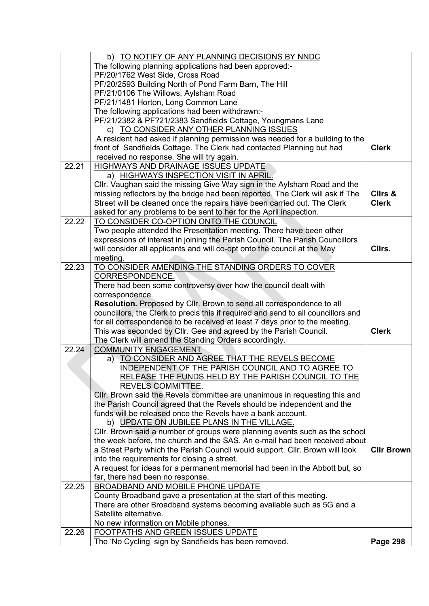|       | b) TO NOTIFY OF ANY PLANNING DECISIONS BY NNDC                                                                                                        |                   |
|-------|-------------------------------------------------------------------------------------------------------------------------------------------------------|-------------------|
|       | The following planning applications had been approved:-                                                                                               |                   |
|       | PF/20/1762 West Side, Cross Road                                                                                                                      |                   |
|       | PF/20/2593 Building North of Pond Farm Barn, The Hill                                                                                                 |                   |
|       | PF/21/0106 The Willows, Aylsham Road                                                                                                                  |                   |
|       | PF/21/1481 Horton, Long Common Lane                                                                                                                   |                   |
|       | The following applications had been withdrawn:-                                                                                                       |                   |
|       | PF/21/2382 & PF?21/2383 Sandfields Cottage, Youngmans Lane                                                                                            |                   |
|       | c) TO CONSIDER ANY OTHER PLANNING ISSUES                                                                                                              |                   |
|       | .A resident had asked if planning permission was needed for a building to the                                                                         |                   |
|       | front of Sandfields Cottage. The Clerk had contacted Planning but had                                                                                 | <b>Clerk</b>      |
|       | received no response. She will try again.                                                                                                             |                   |
| 22.21 | HIGHWAYS AND DRAINAGE ISSUES UPDATE                                                                                                                   |                   |
|       | a) HIGHWAYS INSPECTION VISIT IN APRIL.                                                                                                                |                   |
|       | Cllr. Vaughan said the missing Give Way sign in the Aylsham Road and the                                                                              |                   |
|       | missing reflectors by the bridge had been reported. The Clerk will ask if The                                                                         | Clirs &           |
|       | Street will be cleaned once the repairs have been carried out. The Clerk                                                                              | <b>Clerk</b>      |
|       | asked for any problems to be sent to her for the April inspection.                                                                                    |                   |
| 22.22 | TO CONSIDER CO-OPTION ONTO THE COUNCIL                                                                                                                |                   |
|       | Two people attended the Presentation meeting. There have been other                                                                                   |                   |
|       | expressions of interest in joining the Parish Council. The Parish Councillors                                                                         |                   |
|       | will consider all applicants and will co-opt onto the council at the May                                                                              | Cllrs.            |
|       | meeting.                                                                                                                                              |                   |
| 22.23 | TO CONSIDER AMENDING THE STANDING ORDERS TO COVER                                                                                                     |                   |
|       | CORRESPONDENCE.                                                                                                                                       |                   |
|       | There had been some controversy over how the council dealt with                                                                                       |                   |
|       | correspondence.                                                                                                                                       |                   |
|       | Resolution. Proposed by Cllr. Brown to send all correspondence to all                                                                                 |                   |
|       | councillors, the Clerk to precis this if required and send to all councillors and                                                                     |                   |
|       | for all correspondence to be received at least 7 days prior to the meeting.                                                                           |                   |
|       | This was seconded by Cllr. Gee and agreed by the Parish Council.                                                                                      | <b>Clerk</b>      |
|       | The Clerk will amend the Standing Orders accordingly.                                                                                                 |                   |
| 22.24 | <b>COMMUNITY ENGAGEMENT</b>                                                                                                                           |                   |
|       | a) TO CONSIDER AND AGREE THAT THE REVELS BECOME                                                                                                       |                   |
|       | <u>INDEPENDENT OF THE PARISH COUNCIL AND TO AGREE TO </u>                                                                                             |                   |
|       | RELEASE THE FUNDS HELD BY THE PARISH COUNCIL TO THE                                                                                                   |                   |
|       | REVELS COMMITTEE.                                                                                                                                     |                   |
|       | CIIr. Brown said the Revels committee are unanimous in requesting this and<br>the Parish Council agreed that the Revels should be independent and the |                   |
|       | funds will be released once the Revels have a bank account.                                                                                           |                   |
|       | b) UPDATE ON JUBILEE PLANS IN THE VILLAGE.                                                                                                            |                   |
|       | Cllr. Brown said a number of groups were planning events such as the school                                                                           |                   |
|       | the week before, the church and the SAS. An e-mail had been received about                                                                            |                   |
|       | a Street Party which the Parish Council would support. Cllr. Brown will look                                                                          | <b>Cllr Brown</b> |
|       | into the requirements for closing a street.                                                                                                           |                   |
|       | A request for ideas for a permanent memorial had been in the Abbott but, so                                                                           |                   |
|       | far, there had been no response.                                                                                                                      |                   |
| 22.25 | BROADBAND AND MOBILE PHONE UPDATE                                                                                                                     |                   |
|       | County Broadband gave a presentation at the start of this meeting.                                                                                    |                   |
|       | There are other Broadband systems becoming available such as 5G and a                                                                                 |                   |
|       | Satellite alternative.                                                                                                                                |                   |
|       | No new information on Mobile phones.                                                                                                                  |                   |
| 22.26 | FOOTPATHS AND GREEN ISSUES UPDATE                                                                                                                     |                   |
|       | The 'No Cycling' sign by Sandfields has been removed.                                                                                                 | <b>Page 298</b>   |